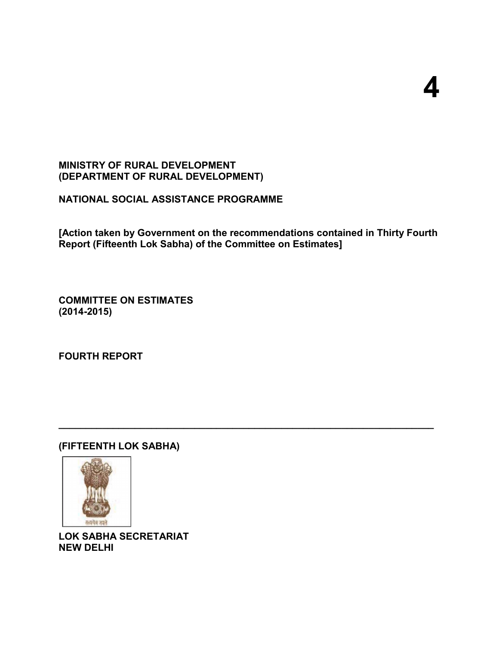## **MINISTRY OF RURAL DEVELOPMENT (DEPARTMENT OF RURAL DEVELOPMENT)**

**NATIONAL SOCIAL ASSISTANCE PROGRAMME**

**[Action taken by Government on the recommendations contained in Thirty Fourth Report (Fifteenth Lok Sabha) of the Committee on Estimates]** 

**\_\_\_\_\_\_\_\_\_\_\_\_\_\_\_\_\_\_\_\_\_\_\_\_\_\_\_\_\_\_\_\_\_\_\_\_\_\_\_\_\_\_\_\_\_\_\_\_\_\_\_\_\_\_\_\_\_\_\_\_\_\_\_\_\_\_\_\_\_**

**COMMITTEE ON ESTIMATES (2014-2015)**

**FOURTH REPORT**

## **(FIFTEENTH LOK SABHA)**



**LOK SABHA SECRETARIAT NEW DELHI**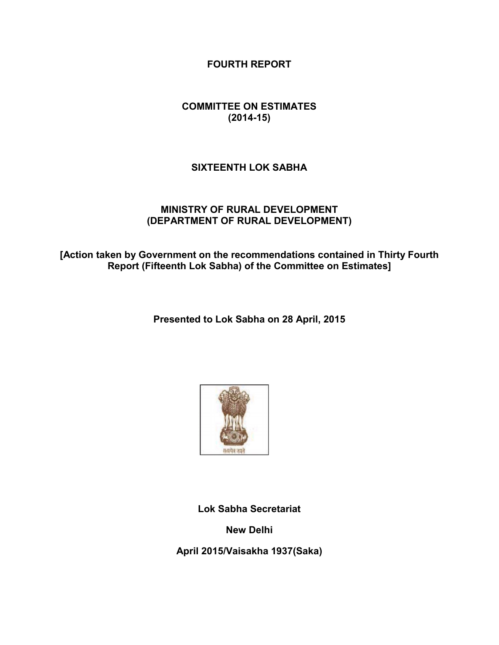**FOURTH REPORT**

## **COMMITTEE ON ESTIMATES (2014-15)**

## **SIXTEENTH LOK SABHA**

#### **MINISTRY OF RURAL DEVELOPMENT (DEPARTMENT OF RURAL DEVELOPMENT)**

**[Action taken by Government on the recommendations contained in Thirty Fourth Report (Fifteenth Lok Sabha) of the Committee on Estimates]**

**Presented to Lok Sabha on 28 April, 2015**



**Lok Sabha Secretariat**

**New Delhi**

**April 2015/Vaisakha 1937(Saka)**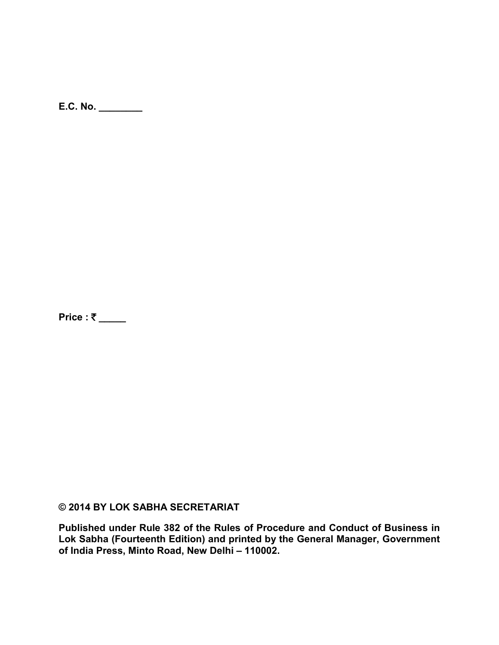**E.C. No. \_\_\_\_\_\_\_\_**

**Price : ₹ \_\_\_\_** 

**© 2014 BY LOK SABHA SECRETARIAT** 

**Published under Rule 382 of the Rules of Procedure and Conduct of Business in Lok Sabha (Fourteenth Edition) and printed by the General Manager, Government of India Press, Minto Road, New Delhi – 110002.**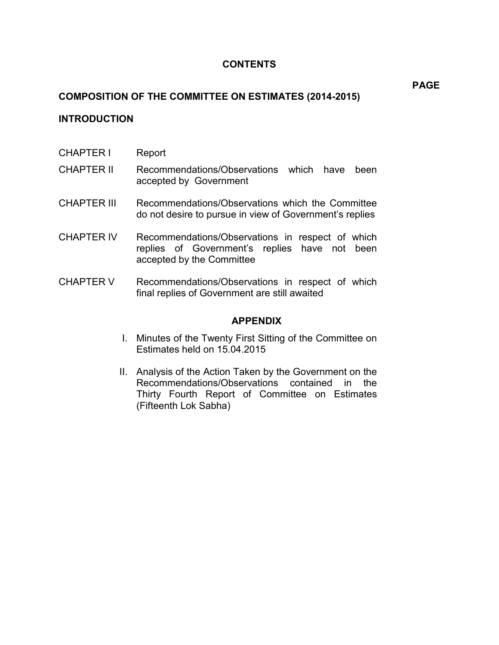## **CONTENTS**

## **COMPOSITION OF THE COMMITTEE ON ESTIMATES (2014-2015)**

## **INTRODUCTION**

- CHAPTER I Report
- CHAPTER II Recommendations/Observations which have been accepted by Government
- CHAPTER III Recommendations/Observations which the Committee do not desire to pursue in view of Government's replies
- CHAPTER IV Recommendations/Observations in respect of which replies of Government's replies have not been accepted by the Committee
- CHAPTER V Recommendations/Observations in respect of which final replies of Government are still awaited

#### **APPENDIX**

- I. Minutes of the Twenty First Sitting of the Committee on Estimates held on 15.04.2015
- II. Analysis of the Action Taken by the Government on the Recommendations/Observations contained in the Thirty Fourth Report of Committee on Estimates (Fifteenth Lok Sabha)

**PAGE**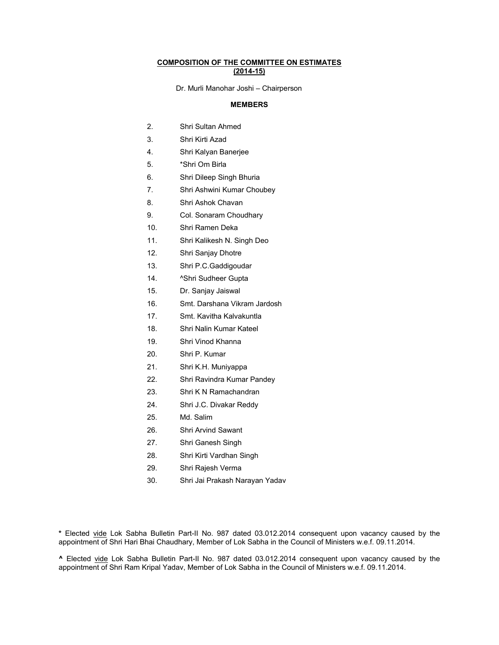#### **COMPOSITION OF THE COMMITTEE ON ESTIMATES (2014-15)**

Dr. Murli Manohar Joshi – Chairperson

#### **MEMBERS**

- 2. Shri Sultan Ahmed
- 3. Shri Kirti Azad
- 4. Shri Kalyan Banerjee
- 5. \*Shri Om Birla
- 6. Shri Dileep Singh Bhuria
- 7. Shri Ashwini Kumar Choubey
- 8. Shri Ashok Chavan
- 9. Col. Sonaram Choudhary
- 10. Shri Ramen Deka
- 11. Shri Kalikesh N. Singh Deo
- 12. Shri Sanjay Dhotre
- 13. Shri P.C.Gaddigoudar
- 14. ^Shri Sudheer Gupta
- 15. Dr. Sanjay Jaiswal
- 16. Smt. Darshana Vikram Jardosh
- 17. Smt. Kavitha Kalvakuntla
- 18. Shri Nalin Kumar Kateel
- 19. Shri Vinod Khanna
- 20. Shri P. Kumar
- 21. Shri K.H. Muniyappa
- 22. Shri Ravindra Kumar Pandey
- 23. Shri K N Ramachandran
- 24. Shri J.C. Divakar Reddy
- 25. Md. Salim
- 26. Shri Arvind Sawant
- 27. Shri Ganesh Singh
- 28. Shri Kirti Vardhan Singh
- 29. Shri Rajesh Verma
- 30. Shri Jai Prakash Narayan Yadav

**\*** Elected vide Lok Sabha Bulletin Part-II No. 987 dated 03.012.2014 consequent upon vacancy caused by the appointment of Shri Hari Bhai Chaudhary, Member of Lok Sabha in the Council of Ministers w.e.f. 09.11.2014.

**^** Elected vide Lok Sabha Bulletin Part-II No. 987 dated 03.012.2014 consequent upon vacancy caused by the appointment of Shri Ram Kripal Yadav, Member of Lok Sabha in the Council of Ministers w.e.f. 09.11.2014.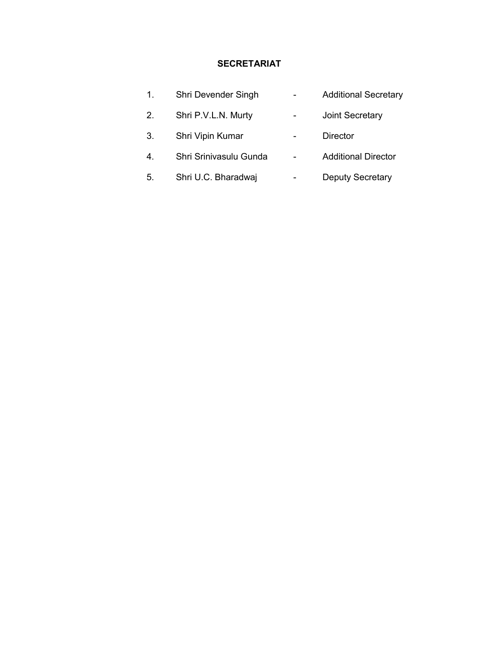## **SECRETARIAT**

| 1. | Shri Devender Singh    | <b>Additional Secretary</b> |
|----|------------------------|-----------------------------|
| 2. | Shri P.V.L.N. Murty    | Joint Secretary             |
| 3. | Shri Vipin Kumar       | <b>Director</b>             |
| 4. | Shri Srinivasulu Gunda | <b>Additional Director</b>  |
| 5. | Shri U.C. Bharadwaj    | <b>Deputy Secretary</b>     |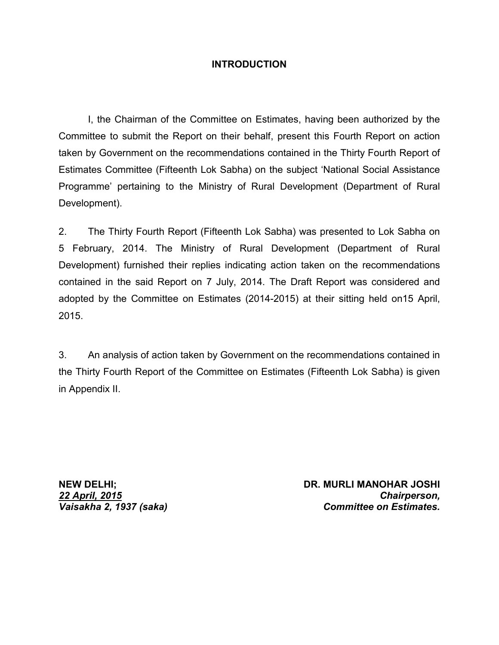## **INTRODUCTION**

I, the Chairman of the Committee on Estimates, having been authorized by the Committee to submit the Report on their behalf, present this Fourth Report on action taken by Government on the recommendations contained in the Thirty Fourth Report of Estimates Committee (Fifteenth Lok Sabha) on the subject 'National Social Assistance Programme' pertaining to the Ministry of Rural Development (Department of Rural Development).

2. The Thirty Fourth Report (Fifteenth Lok Sabha) was presented to Lok Sabha on 5 February, 2014. The Ministry of Rural Development (Department of Rural Development) furnished their replies indicating action taken on the recommendations contained in the said Report on 7 July, 2014. The Draft Report was considered and adopted by the Committee on Estimates (2014-2015) at their sitting held on15 April, 2015.

3. An analysis of action taken by Government on the recommendations contained in the Thirty Fourth Report of the Committee on Estimates (Fifteenth Lok Sabha) is given in Appendix II.

*22 April, 2015 Vaisakha 2, 1937 (saka)*

**NEW DELHI; DR. MURLI MANOHAR JOSHI** *Chairperson, Committee on Estimates.*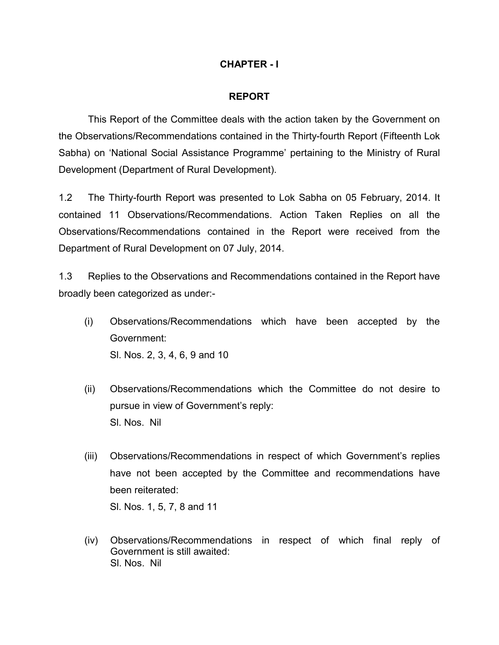## **CHAPTER - I**

#### **REPORT**

This Report of the Committee deals with the action taken by the Government on the Observations/Recommendations contained in the Thirty-fourth Report (Fifteenth Lok Sabha) on 'National Social Assistance Programme' pertaining to the Ministry of Rural Development (Department of Rural Development).

1.2 The Thirty-fourth Report was presented to Lok Sabha on 05 February, 2014. It contained 11 Observations/Recommendations. Action Taken Replies on all the Observations/Recommendations contained in the Report were received from the Department of Rural Development on 07 July, 2014.

1.3 Replies to the Observations and Recommendations contained in the Report have broadly been categorized as under:-

- (i) Observations/Recommendations which have been accepted by the Government: Sl. Nos. 2, 3, 4, 6, 9 and 10
- (ii) Observations/Recommendations which the Committee do not desire to pursue in view of Government's reply: Sl. Nos. Nil
- (iii) Observations/Recommendations in respect of which Government's replies have not been accepted by the Committee and recommendations have been reiterated: Sl. Nos. 1, 5, 7, 8 and 11
- (iv) Observations/Recommendations in respect of which final reply of Government is still awaited: Sl. Nos. Nil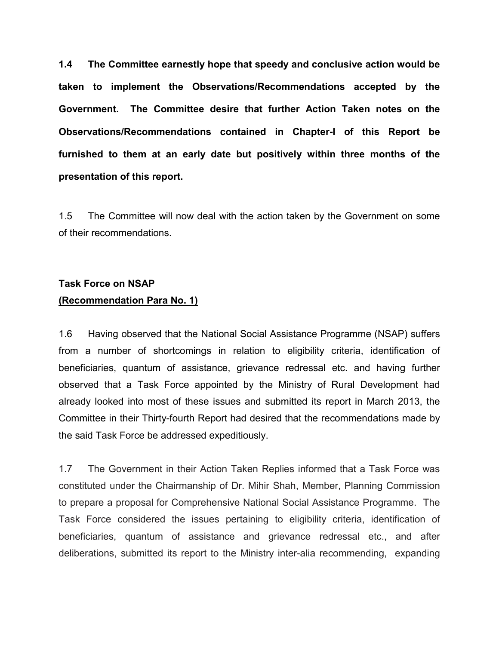**1.4 The Committee earnestly hope that speedy and conclusive action would be taken to implement the Observations/Recommendations accepted by the Government. The Committee desire that further Action Taken notes on the Observations/Recommendations contained in Chapter-I of this Report be furnished to them at an early date but positively within three months of the presentation of this report.** 

1.5 The Committee will now deal with the action taken by the Government on some of their recommendations.

# **Task Force on NSAP**

## **(Recommendation Para No. 1)**

1.6 Having observed that the National Social Assistance Programme (NSAP) suffers from a number of shortcomings in relation to eligibility criteria, identification of beneficiaries, quantum of assistance, grievance redressal etc. and having further observed that a Task Force appointed by the Ministry of Rural Development had already looked into most of these issues and submitted its report in March 2013, the Committee in their Thirty-fourth Report had desired that the recommendations made by the said Task Force be addressed expeditiously.

1.7 The Government in their Action Taken Replies informed that a Task Force was constituted under the Chairmanship of Dr. Mihir Shah, Member, Planning Commission to prepare a proposal for Comprehensive National Social Assistance Programme. The Task Force considered the issues pertaining to eligibility criteria, identification of beneficiaries, quantum of assistance and grievance redressal etc., and after deliberations, submitted its report to the Ministry inter-alia recommending, expanding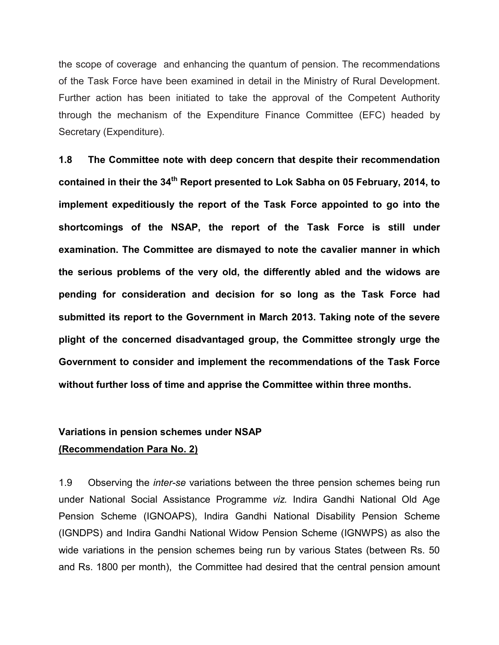the scope of coverage and enhancing the quantum of pension. The recommendations of the Task Force have been examined in detail in the Ministry of Rural Development. Further action has been initiated to take the approval of the Competent Authority through the mechanism of the Expenditure Finance Committee (EFC) headed by Secretary (Expenditure).

**1.8 The Committee note with deep concern that despite their recommendation contained in their the 34th Report presented to Lok Sabha on 05 February, 2014, to implement expeditiously the report of the Task Force appointed to go into the shortcomings of the NSAP, the report of the Task Force is still under examination. The Committee are dismayed to note the cavalier manner in which the serious problems of the very old, the differently abled and the widows are pending for consideration and decision for so long as the Task Force had submitted its report to the Government in March 2013. Taking note of the severe plight of the concerned disadvantaged group, the Committee strongly urge the Government to consider and implement the recommendations of the Task Force without further loss of time and apprise the Committee within three months.**

#### **Variations in pension schemes under NSAP**

#### **(Recommendation Para No. 2)**

1.9 Observing the *inter-se* variations between the three pension schemes being run under National Social Assistance Programme *viz.* Indira Gandhi National Old Age Pension Scheme (IGNOAPS), Indira Gandhi National Disability Pension Scheme (IGNDPS) and Indira Gandhi National Widow Pension Scheme (IGNWPS) as also the wide variations in the pension schemes being run by various States (between Rs. 50 and Rs. 1800 per month), the Committee had desired that the central pension amount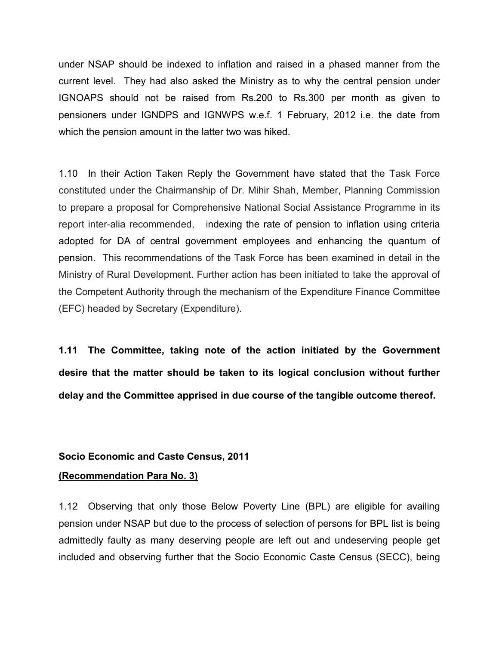under NSAP should be indexed to inflation and raised in a phased manner from the current level. They had also asked the Ministry as to why the central pension under IGNOAPS should not be raised from Rs.200 to Rs.300 per month as given to pensioners under IGNDPS and IGNWPS w.e.f. 1 February, 2012 i.e. the date from which the pension amount in the latter two was hiked.

1.10 In their Action Taken Reply the Government have stated that the Task Force constituted under the Chairmanship of Dr. Mihir Shah, Member, Planning Commission to prepare a proposal for Comprehensive National Social Assistance Programme in its report inter-alia recommended, indexing the rate of pension to inflation using criteria adopted for DA of central government employees and enhancing the quantum of pension. This recommendations of the Task Force has been examined in detail in the Ministry of Rural Development. Further action has been initiated to take the approval of the Competent Authority through the mechanism of the Expenditure Finance Committee (EFC) headed by Secretary (Expenditure).

**1.11 The Committee, taking note of the action initiated by the Government desire that the matter should be taken to its logical conclusion without further delay and the Committee apprised in due course of the tangible outcome thereof.** 

#### **Socio Economic and Caste Census, 2011**

#### **(Recommendation Para No. 3)**

1.12 Observing that only those Below Poverty Line (BPL) are eligible for availing pension under NSAP but due to the process of selection of persons for BPL list is being admittedly faulty as many deserving people are left out and undeserving people get included and observing further that the Socio Economic Caste Census (SECC), being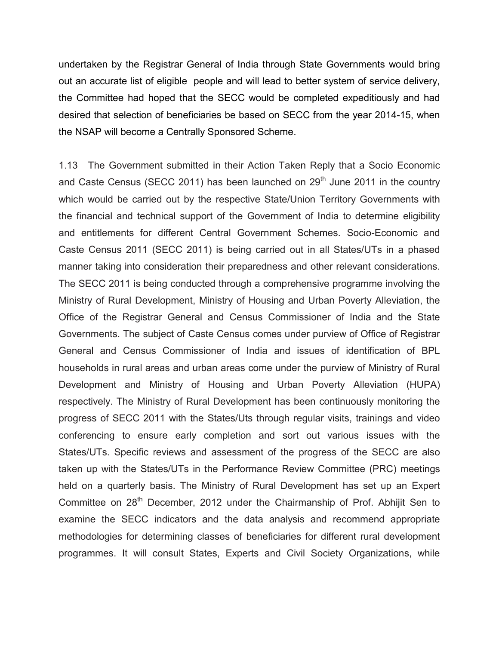undertaken by the Registrar General of India through State Governments would bring out an accurate list of eligible people and will lead to better system of service delivery, the Committee had hoped that the SECC would be completed expeditiously and had desired that selection of beneficiaries be based on SECC from the year 2014-15, when the NSAP will become a Centrally Sponsored Scheme.

1.13 The Government submitted in their Action Taken Reply that a Socio Economic and Caste Census (SECC 2011) has been launched on  $29<sup>th</sup>$  June 2011 in the country which would be carried out by the respective State/Union Territory Governments with the financial and technical support of the Government of India to determine eligibility and entitlements for different Central Government Schemes. Socio-Economic and Caste Census 2011 (SECC 2011) is being carried out in all States/UTs in a phased manner taking into consideration their preparedness and other relevant considerations. The SECC 2011 is being conducted through a comprehensive programme involving the Ministry of Rural Development, Ministry of Housing and Urban Poverty Alleviation, the Office of the Registrar General and Census Commissioner of India and the State Governments. The subject of Caste Census comes under purview of Office of Registrar General and Census Commissioner of India and issues of identification of BPL households in rural areas and urban areas come under the purview of Ministry of Rural Development and Ministry of Housing and Urban Poverty Alleviation (HUPA) respectively. The Ministry of Rural Development has been continuously monitoring the progress of SECC 2011 with the States/Uts through regular visits, trainings and video conferencing to ensure early completion and sort out various issues with the States/UTs. Specific reviews and assessment of the progress of the SECC are also taken up with the States/UTs in the Performance Review Committee (PRC) meetings held on a quarterly basis. The Ministry of Rural Development has set up an Expert Committee on 28<sup>th</sup> December, 2012 under the Chairmanship of Prof. Abhijit Sen to examine the SECC indicators and the data analysis and recommend appropriate methodologies for determining classes of beneficiaries for different rural development programmes. It will consult States, Experts and Civil Society Organizations, while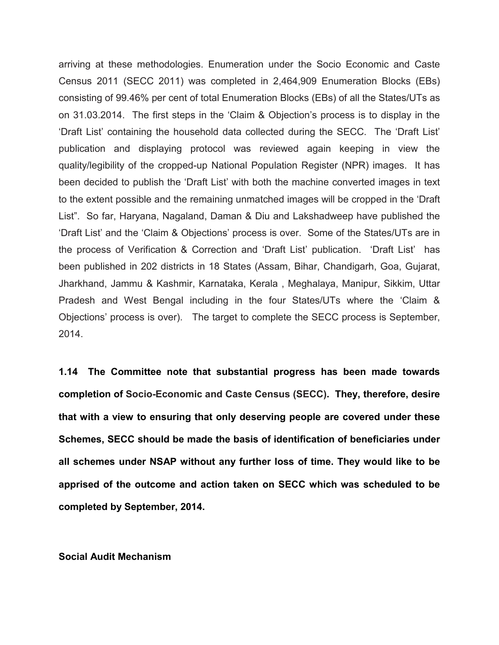arriving at these methodologies. Enumeration under the Socio Economic and Caste Census 2011 (SECC 2011) was completed in 2,464,909 Enumeration Blocks (EBs) consisting of 99.46% per cent of total Enumeration Blocks (EBs) of all the States/UTs as on 31.03.2014. The first steps in the 'Claim & Objection's process is to display in the 'Draft List' containing the household data collected during the SECC. The 'Draft List' publication and displaying protocol was reviewed again keeping in view the quality/legibility of the cropped-up National Population Register (NPR) images. It has been decided to publish the 'Draft List' with both the machine converted images in text to the extent possible and the remaining unmatched images will be cropped in the 'Draft List". So far, Haryana, Nagaland, Daman & Diu and Lakshadweep have published the 'Draft List' and the 'Claim & Objections' process is over. Some of the States/UTs are in the process of Verification & Correction and 'Draft List' publication. 'Draft List' has been published in 202 districts in 18 States (Assam, Bihar, Chandigarh, Goa, Gujarat, Jharkhand, Jammu & Kashmir, Karnataka, Kerala , Meghalaya, Manipur, Sikkim, Uttar Pradesh and West Bengal including in the four States/UTs where the 'Claim & Objections' process is over). The target to complete the SECC process is September, 2014.

**1.14 The Committee note that substantial progress has been made towards completion of Socio-Economic and Caste Census (SECC). They, therefore, desire that with a view to ensuring that only deserving people are covered under these Schemes, SECC should be made the basis of identification of beneficiaries under all schemes under NSAP without any further loss of time. They would like to be apprised of the outcome and action taken on SECC which was scheduled to be completed by September, 2014.**

#### **Social Audit Mechanism**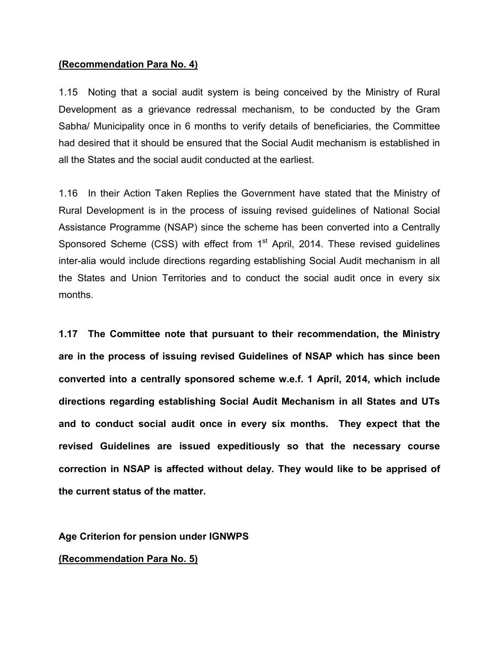#### **(Recommendation Para No. 4)**

1.15 Noting that a social audit system is being conceived by the Ministry of Rural Development as a grievance redressal mechanism, to be conducted by the Gram Sabha/ Municipality once in 6 months to verify details of beneficiaries, the Committee had desired that it should be ensured that the Social Audit mechanism is established in all the States and the social audit conducted at the earliest.

1.16 In their Action Taken Replies the Government have stated that the Ministry of Rural Development is in the process of issuing revised guidelines of National Social Assistance Programme (NSAP) since the scheme has been converted into a Centrally Sponsored Scheme (CSS) with effect from  $1<sup>st</sup>$  April, 2014. These revised quidelines inter-alia would include directions regarding establishing Social Audit mechanism in all the States and Union Territories and to conduct the social audit once in every six months.

**1.17 The Committee note that pursuant to their recommendation, the Ministry are in the process of issuing revised Guidelines of NSAP which has since been converted into a centrally sponsored scheme w.e.f. 1 April, 2014, which include directions regarding establishing Social Audit Mechanism in all States and UTs and to conduct social audit once in every six months. They expect that the revised Guidelines are issued expeditiously so that the necessary course correction in NSAP is affected without delay. They would like to be apprised of the current status of the matter.**

**Age Criterion for pension under IGNWPS**

#### **(Recommendation Para No. 5)**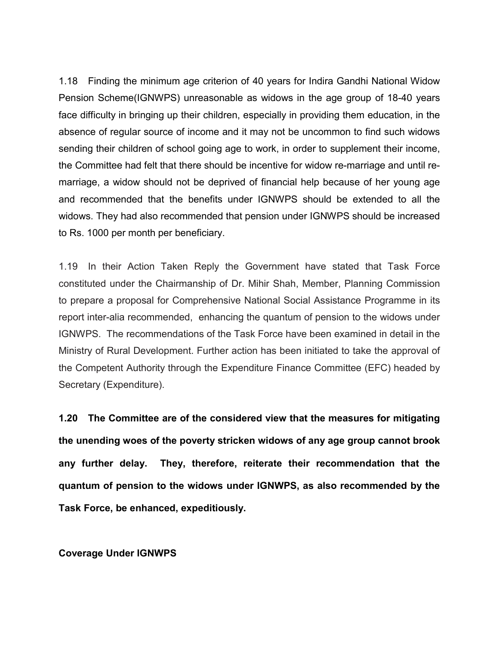1.18 Finding the minimum age criterion of 40 years for Indira Gandhi National Widow Pension Scheme(IGNWPS) unreasonable as widows in the age group of 18-40 years face difficulty in bringing up their children, especially in providing them education, in the absence of regular source of income and it may not be uncommon to find such widows sending their children of school going age to work, in order to supplement their income, the Committee had felt that there should be incentive for widow re-marriage and until remarriage, a widow should not be deprived of financial help because of her young age and recommended that the benefits under IGNWPS should be extended to all the widows. They had also recommended that pension under IGNWPS should be increased to Rs. 1000 per month per beneficiary.

1.19 In their Action Taken Reply the Government have stated that Task Force constituted under the Chairmanship of Dr. Mihir Shah, Member, Planning Commission to prepare a proposal for Comprehensive National Social Assistance Programme in its report inter-alia recommended, enhancing the quantum of pension to the widows under IGNWPS. The recommendations of the Task Force have been examined in detail in the Ministry of Rural Development. Further action has been initiated to take the approval of the Competent Authority through the Expenditure Finance Committee (EFC) headed by Secretary (Expenditure).

**1.20 The Committee are of the considered view that the measures for mitigating the unending woes of the poverty stricken widows of any age group cannot brook any further delay. They, therefore, reiterate their recommendation that the quantum of pension to the widows under IGNWPS, as also recommended by the Task Force, be enhanced, expeditiously.** 

**Coverage Under IGNWPS**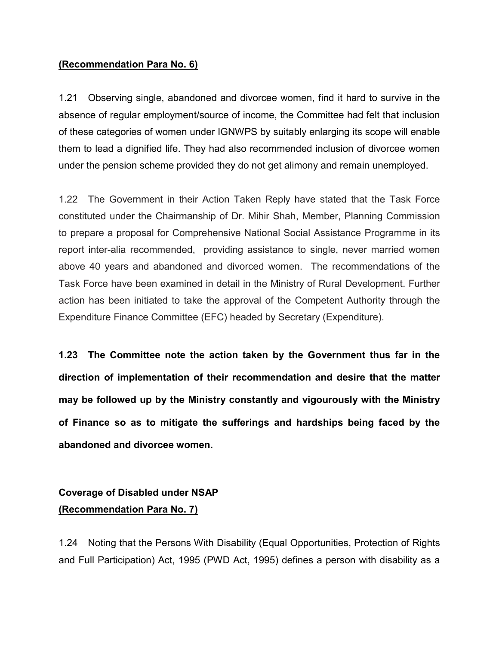## **(Recommendation Para No. 6)**

1.21 Observing single, abandoned and divorcee women, find it hard to survive in the absence of regular employment/source of income, the Committee had felt that inclusion of these categories of women under IGNWPS by suitably enlarging its scope will enable them to lead a dignified life. They had also recommended inclusion of divorcee women under the pension scheme provided they do not get alimony and remain unemployed.

1.22 The Government in their Action Taken Reply have stated that the Task Force constituted under the Chairmanship of Dr. Mihir Shah, Member, Planning Commission to prepare a proposal for Comprehensive National Social Assistance Programme in its report inter-alia recommended, providing assistance to single, never married women above 40 years and abandoned and divorced women. The recommendations of the Task Force have been examined in detail in the Ministry of Rural Development. Further action has been initiated to take the approval of the Competent Authority through the Expenditure Finance Committee (EFC) headed by Secretary (Expenditure).

**1.23 The Committee note the action taken by the Government thus far in the direction of implementation of their recommendation and desire that the matter may be followed up by the Ministry constantly and vigourously with the Ministry of Finance so as to mitigate the sufferings and hardships being faced by the abandoned and divorcee women.** 

# **Coverage of Disabled under NSAP (Recommendation Para No. 7)**

1.24 Noting that the Persons With Disability (Equal Opportunities, Protection of Rights and Full Participation) Act, 1995 (PWD Act, 1995) defines a person with disability as a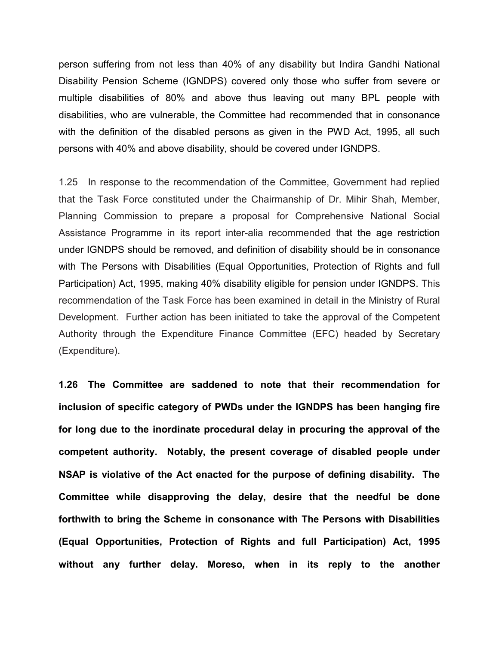person suffering from not less than 40% of any disability but Indira Gandhi National Disability Pension Scheme (IGNDPS) covered only those who suffer from severe or multiple disabilities of 80% and above thus leaving out many BPL people with disabilities, who are vulnerable, the Committee had recommended that in consonance with the definition of the disabled persons as given in the PWD Act, 1995, all such persons with 40% and above disability, should be covered under IGNDPS.

1.25 In response to the recommendation of the Committee, Government had replied that the Task Force constituted under the Chairmanship of Dr. Mihir Shah, Member, Planning Commission to prepare a proposal for Comprehensive National Social Assistance Programme in its report inter-alia recommended that the age restriction under IGNDPS should be removed, and definition of disability should be in consonance with The Persons with Disabilities (Equal Opportunities, Protection of Rights and full Participation) Act, 1995, making 40% disability eligible for pension under IGNDPS. This recommendation of the Task Force has been examined in detail in the Ministry of Rural Development. Further action has been initiated to take the approval of the Competent Authority through the Expenditure Finance Committee (EFC) headed by Secretary (Expenditure).

**1.26 The Committee are saddened to note that their recommendation for inclusion of specific category of PWDs under the IGNDPS has been hanging fire for long due to the inordinate procedural delay in procuring the approval of the competent authority. Notably, the present coverage of disabled people under NSAP is violative of the Act enacted for the purpose of defining disability. The Committee while disapproving the delay, desire that the needful be done forthwith to bring the Scheme in consonance with The Persons with Disabilities (Equal Opportunities, Protection of Rights and full Participation) Act, 1995 without any further delay. Moreso, when in its reply to the another**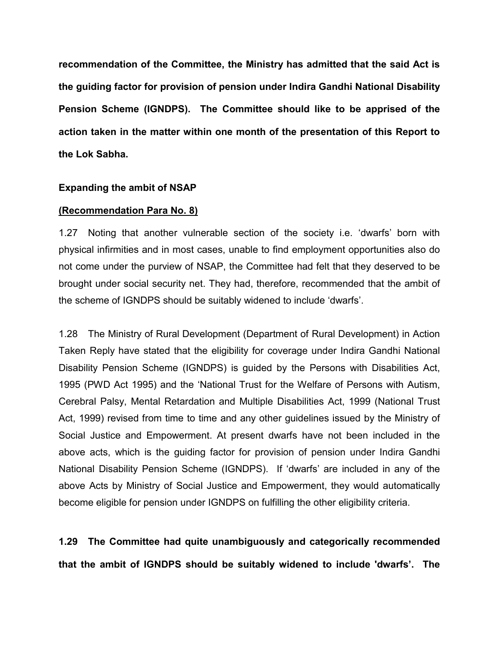**recommendation of the Committee, the Ministry has admitted that the said Act is the guiding factor for provision of pension under Indira Gandhi National Disability Pension Scheme (IGNDPS). The Committee should like to be apprised of the action taken in the matter within one month of the presentation of this Report to the Lok Sabha.** 

#### **Expanding the ambit of NSAP**

#### **(Recommendation Para No. 8)**

1.27 Noting that another vulnerable section of the society i.e. 'dwarfs' born with physical infirmities and in most cases, unable to find employment opportunities also do not come under the purview of NSAP, the Committee had felt that they deserved to be brought under social security net. They had, therefore, recommended that the ambit of the scheme of IGNDPS should be suitably widened to include 'dwarfs'.

1.28 The Ministry of Rural Development (Department of Rural Development) in Action Taken Reply have stated that the eligibility for coverage under Indira Gandhi National Disability Pension Scheme (IGNDPS) is guided by the Persons with Disabilities Act, 1995 (PWD Act 1995) and the 'National Trust for the Welfare of Persons with Autism, Cerebral Palsy, Mental Retardation and Multiple Disabilities Act, 1999 (National Trust Act, 1999) revised from time to time and any other guidelines issued by the Ministry of Social Justice and Empowerment. At present dwarfs have not been included in the above acts, which is the guiding factor for provision of pension under Indira Gandhi National Disability Pension Scheme (IGNDPS). If 'dwarfs' are included in any of the above Acts by Ministry of Social Justice and Empowerment, they would automatically become eligible for pension under IGNDPS on fulfilling the other eligibility criteria.

**1.29 The Committee had quite unambiguously and categorically recommended that the ambit of IGNDPS should be suitably widened to include 'dwarfs'. The**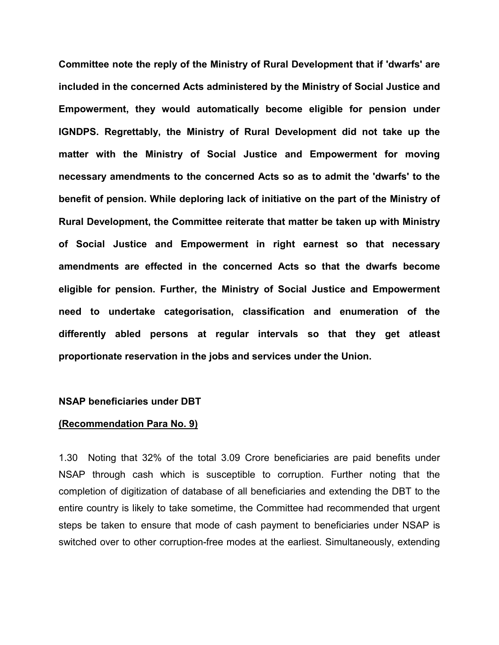**Committee note the reply of the Ministry of Rural Development that if 'dwarfs' are included in the concerned Acts administered by the Ministry of Social Justice and Empowerment, they would automatically become eligible for pension under IGNDPS. Regrettably, the Ministry of Rural Development did not take up the matter with the Ministry of Social Justice and Empowerment for moving necessary amendments to the concerned Acts so as to admit the 'dwarfs' to the benefit of pension. While deploring lack of initiative on the part of the Ministry of Rural Development, the Committee reiterate that matter be taken up with Ministry of Social Justice and Empowerment in right earnest so that necessary amendments are effected in the concerned Acts so that the dwarfs become eligible for pension. Further, the Ministry of Social Justice and Empowerment need to undertake categorisation, classification and enumeration of the differently abled persons at regular intervals so that they get atleast proportionate reservation in the jobs and services under the Union.**

#### **NSAP beneficiaries under DBT**

#### **(Recommendation Para No. 9)**

1.30 Noting that 32% of the total 3.09 Crore beneficiaries are paid benefits under NSAP through cash which is susceptible to corruption. Further noting that the completion of digitization of database of all beneficiaries and extending the DBT to the entire country is likely to take sometime, the Committee had recommended that urgent steps be taken to ensure that mode of cash payment to beneficiaries under NSAP is switched over to other corruption-free modes at the earliest. Simultaneously, extending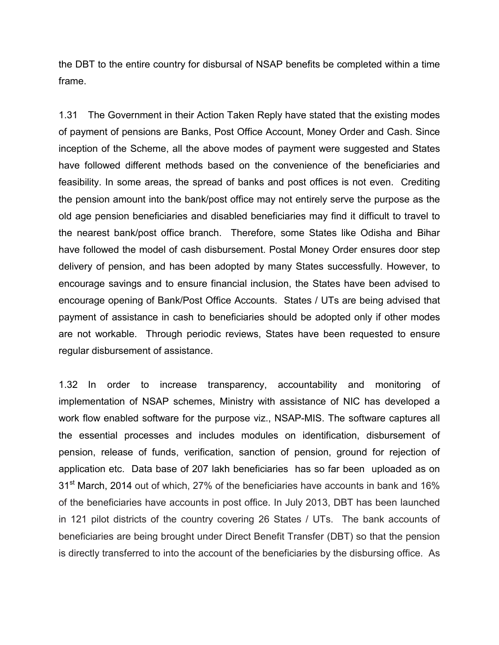the DBT to the entire country for disbursal of NSAP benefits be completed within a time frame.

1.31 The Government in their Action Taken Reply have stated that the existing modes of payment of pensions are Banks, Post Office Account, Money Order and Cash. Since inception of the Scheme, all the above modes of payment were suggested and States have followed different methods based on the convenience of the beneficiaries and feasibility. In some areas, the spread of banks and post offices is not even. Crediting the pension amount into the bank/post office may not entirely serve the purpose as the old age pension beneficiaries and disabled beneficiaries may find it difficult to travel to the nearest bank/post office branch. Therefore, some States like Odisha and Bihar have followed the model of cash disbursement. Postal Money Order ensures door step delivery of pension, and has been adopted by many States successfully. However, to encourage savings and to ensure financial inclusion, the States have been advised to encourage opening of Bank/Post Office Accounts. States / UTs are being advised that payment of assistance in cash to beneficiaries should be adopted only if other modes are not workable. Through periodic reviews, States have been requested to ensure regular disbursement of assistance.

1.32 In order to increase transparency, accountability and monitoring of implementation of NSAP schemes, Ministry with assistance of NIC has developed a work flow enabled software for the purpose viz., NSAP-MIS. The software captures all the essential processes and includes modules on identification, disbursement of pension, release of funds, verification, sanction of pension, ground for rejection of application etc. Data base of 207 lakh beneficiaries has so far been uploaded as on 31<sup>st</sup> March, 2014 out of which, 27% of the beneficiaries have accounts in bank and 16% of the beneficiaries have accounts in post office. In July 2013, DBT has been launched in 121 pilot districts of the country covering 26 States / UTs. The bank accounts of beneficiaries are being brought under Direct Benefit Transfer (DBT) so that the pension is directly transferred to into the account of the beneficiaries by the disbursing office. As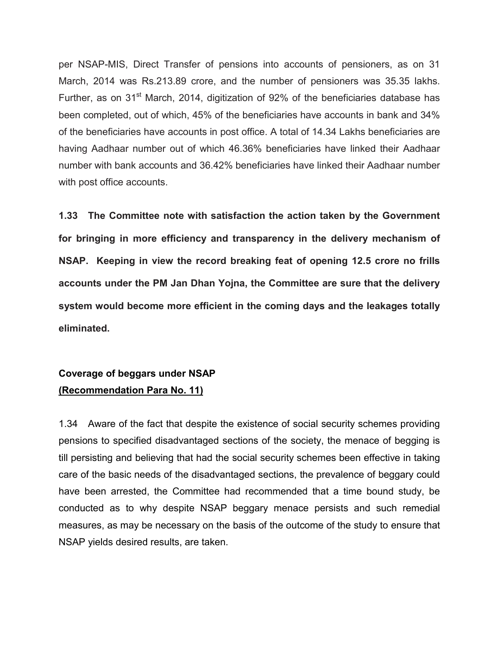per NSAP-MIS, Direct Transfer of pensions into accounts of pensioners, as on 31 March, 2014 was Rs.213.89 crore, and the number of pensioners was 35.35 lakhs. Further, as on  $31<sup>st</sup>$  March, 2014, digitization of 92% of the beneficiaries database has been completed, out of which, 45% of the beneficiaries have accounts in bank and 34% of the beneficiaries have accounts in post office. A total of 14.34 Lakhs beneficiaries are having Aadhaar number out of which 46.36% beneficiaries have linked their Aadhaar number with bank accounts and 36.42% beneficiaries have linked their Aadhaar number with post office accounts.

**1.33 The Committee note with satisfaction the action taken by the Government for bringing in more efficiency and transparency in the delivery mechanism of NSAP. Keeping in view the record breaking feat of opening 12.5 crore no frills accounts under the PM Jan Dhan Yojna, the Committee are sure that the delivery system would become more efficient in the coming days and the leakages totally eliminated.** 

## **Coverage of beggars under NSAP (Recommendation Para No. 11)**

1.34 Aware of the fact that despite the existence of social security schemes providing pensions to specified disadvantaged sections of the society, the menace of begging is till persisting and believing that had the social security schemes been effective in taking care of the basic needs of the disadvantaged sections, the prevalence of beggary could have been arrested, the Committee had recommended that a time bound study, be conducted as to why despite NSAP beggary menace persists and such remedial measures, as may be necessary on the basis of the outcome of the study to ensure that NSAP yields desired results, are taken.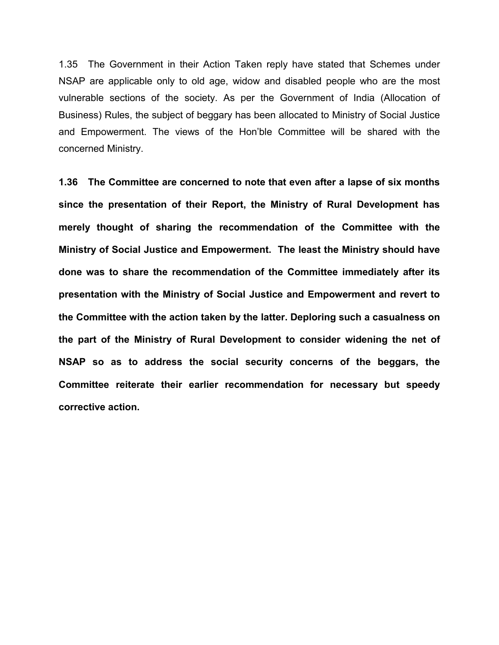1.35 The Government in their Action Taken reply have stated that Schemes under NSAP are applicable only to old age, widow and disabled people who are the most vulnerable sections of the society. As per the Government of India (Allocation of Business) Rules, the subject of beggary has been allocated to Ministry of Social Justice and Empowerment. The views of the Hon'ble Committee will be shared with the concerned Ministry.

**1.36 The Committee are concerned to note that even after a lapse of six months since the presentation of their Report, the Ministry of Rural Development has merely thought of sharing the recommendation of the Committee with the Ministry of Social Justice and Empowerment. The least the Ministry should have done was to share the recommendation of the Committee immediately after its presentation with the Ministry of Social Justice and Empowerment and revert to the Committee with the action taken by the latter. Deploring such a casualness on the part of the Ministry of Rural Development to consider widening the net of NSAP so as to address the social security concerns of the beggars, the Committee reiterate their earlier recommendation for necessary but speedy corrective action.**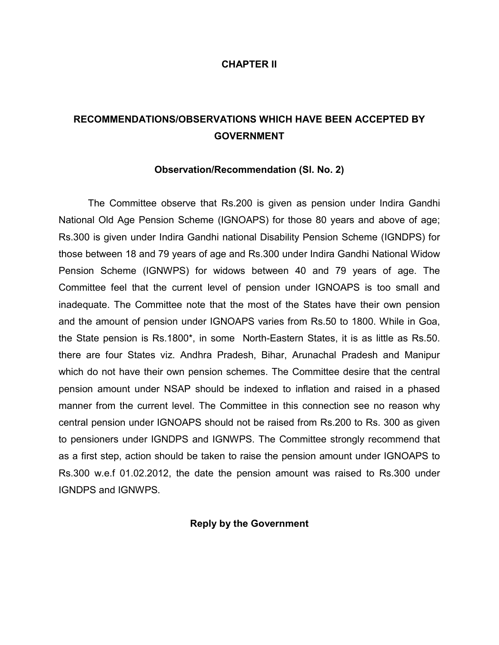#### **CHAPTER II**

## **RECOMMENDATIONS/OBSERVATIONS WHICH HAVE BEEN ACCEPTED BY GOVERNMENT**

#### **Observation/Recommendation (Sl. No. 2)**

The Committee observe that Rs.200 is given as pension under Indira Gandhi National Old Age Pension Scheme (IGNOAPS) for those 80 years and above of age; Rs.300 is given under Indira Gandhi national Disability Pension Scheme (IGNDPS) for those between 18 and 79 years of age and Rs.300 under Indira Gandhi National Widow Pension Scheme (IGNWPS) for widows between 40 and 79 years of age. The Committee feel that the current level of pension under IGNOAPS is too small and inadequate. The Committee note that the most of the States have their own pension and the amount of pension under IGNOAPS varies from Rs.50 to 1800. While in Goa, the State pension is Rs.1800\*, in some North-Eastern States, it is as little as Rs.50. there are four States viz. Andhra Pradesh, Bihar, Arunachal Pradesh and Manipur which do not have their own pension schemes. The Committee desire that the central pension amount under NSAP should be indexed to inflation and raised in a phased manner from the current level. The Committee in this connection see no reason why central pension under IGNOAPS should not be raised from Rs.200 to Rs. 300 as given to pensioners under IGNDPS and IGNWPS. The Committee strongly recommend that as a first step, action should be taken to raise the pension amount under IGNOAPS to Rs.300 w.e.f 01.02.2012, the date the pension amount was raised to Rs.300 under IGNDPS and IGNWPS.

#### **Reply by the Government**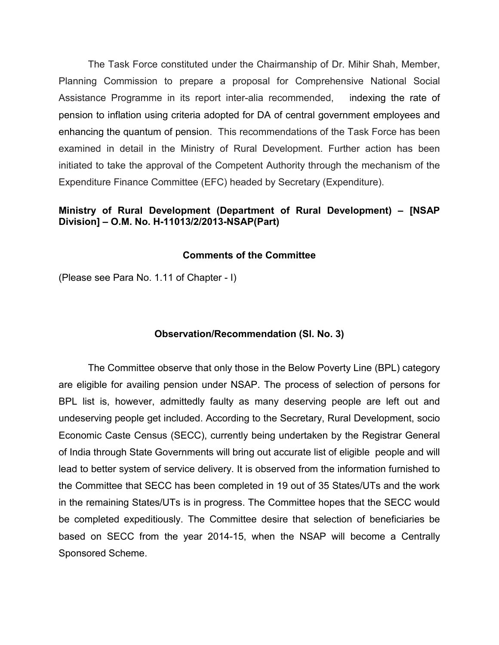The Task Force constituted under the Chairmanship of Dr. Mihir Shah, Member, Planning Commission to prepare a proposal for Comprehensive National Social Assistance Programme in its report inter-alia recommended, indexing the rate of pension to inflation using criteria adopted for DA of central government employees and enhancing the quantum of pension. This recommendations of the Task Force has been examined in detail in the Ministry of Rural Development. Further action has been initiated to take the approval of the Competent Authority through the mechanism of the Expenditure Finance Committee (EFC) headed by Secretary (Expenditure).

## **Ministry of Rural Development (Department of Rural Development) – [NSAP Division] – O.M. No. H-11013/2/2013-NSAP(Part)**

## **Comments of the Committee**

(Please see Para No. 1.11 of Chapter - I)

#### **Observation/Recommendation (Sl. No. 3)**

The Committee observe that only those in the Below Poverty Line (BPL) category are eligible for availing pension under NSAP. The process of selection of persons for BPL list is, however, admittedly faulty as many deserving people are left out and undeserving people get included. According to the Secretary, Rural Development, socio Economic Caste Census (SECC), currently being undertaken by the Registrar General of India through State Governments will bring out accurate list of eligible people and will lead to better system of service delivery. It is observed from the information furnished to the Committee that SECC has been completed in 19 out of 35 States/UTs and the work in the remaining States/UTs is in progress. The Committee hopes that the SECC would be completed expeditiously. The Committee desire that selection of beneficiaries be based on SECC from the year 2014-15, when the NSAP will become a Centrally Sponsored Scheme.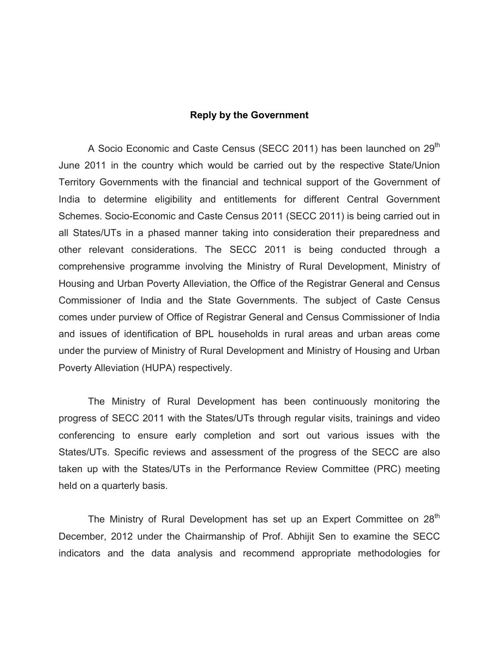#### **Reply by the Government**

A Socio Economic and Caste Census (SECC 2011) has been launched on 29<sup>th</sup> June 2011 in the country which would be carried out by the respective State/Union Territory Governments with the financial and technical support of the Government of India to determine eligibility and entitlements for different Central Government Schemes. Socio-Economic and Caste Census 2011 (SECC 2011) is being carried out in all States/UTs in a phased manner taking into consideration their preparedness and other relevant considerations. The SECC 2011 is being conducted through a comprehensive programme involving the Ministry of Rural Development, Ministry of Housing and Urban Poverty Alleviation, the Office of the Registrar General and Census Commissioner of India and the State Governments. The subject of Caste Census comes under purview of Office of Registrar General and Census Commissioner of India and issues of identification of BPL households in rural areas and urban areas come under the purview of Ministry of Rural Development and Ministry of Housing and Urban Poverty Alleviation (HUPA) respectively.

The Ministry of Rural Development has been continuously monitoring the progress of SECC 2011 with the States/UTs through regular visits, trainings and video conferencing to ensure early completion and sort out various issues with the States/UTs. Specific reviews and assessment of the progress of the SECC are also taken up with the States/UTs in the Performance Review Committee (PRC) meeting held on a quarterly basis.

The Ministry of Rural Development has set up an Expert Committee on 28<sup>th</sup> December, 2012 under the Chairmanship of Prof. Abhijit Sen to examine the SECC indicators and the data analysis and recommend appropriate methodologies for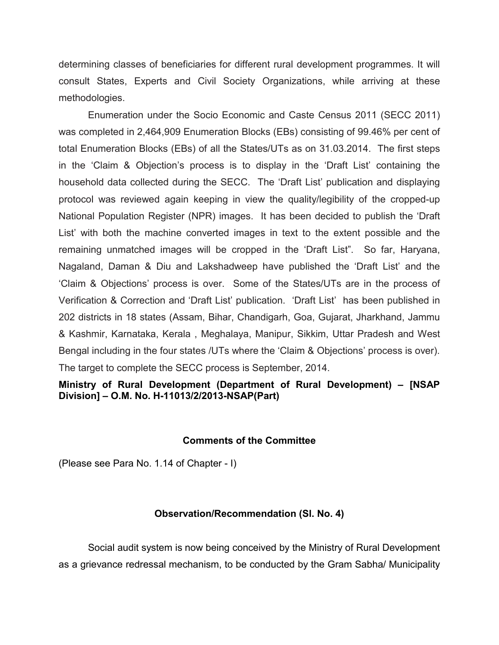determining classes of beneficiaries for different rural development programmes. It will consult States, Experts and Civil Society Organizations, while arriving at these methodologies.

Enumeration under the Socio Economic and Caste Census 2011 (SECC 2011) was completed in 2,464,909 Enumeration Blocks (EBs) consisting of 99.46% per cent of total Enumeration Blocks (EBs) of all the States/UTs as on 31.03.2014. The first steps in the 'Claim & Objection's process is to display in the 'Draft List' containing the household data collected during the SECC. The 'Draft List' publication and displaying protocol was reviewed again keeping in view the quality/legibility of the cropped-up National Population Register (NPR) images. It has been decided to publish the 'Draft List' with both the machine converted images in text to the extent possible and the remaining unmatched images will be cropped in the 'Draft List". So far, Haryana, Nagaland, Daman & Diu and Lakshadweep have published the 'Draft List' and the 'Claim & Objections' process is over. Some of the States/UTs are in the process of Verification & Correction and 'Draft List' publication. 'Draft List' has been published in 202 districts in 18 states (Assam, Bihar, Chandigarh, Goa, Gujarat, Jharkhand, Jammu & Kashmir, Karnataka, Kerala , Meghalaya, Manipur, Sikkim, Uttar Pradesh and West Bengal including in the four states /UTs where the 'Claim & Objections' process is over). The target to complete the SECC process is September, 2014.

**Ministry of Rural Development (Department of Rural Development) – [NSAP Division] – O.M. No. H-11013/2/2013-NSAP(Part)**

#### **Comments of the Committee**

(Please see Para No. 1.14 of Chapter - I)

#### **Observation/Recommendation (Sl. No. 4)**

Social audit system is now being conceived by the Ministry of Rural Development as a grievance redressal mechanism, to be conducted by the Gram Sabha/ Municipality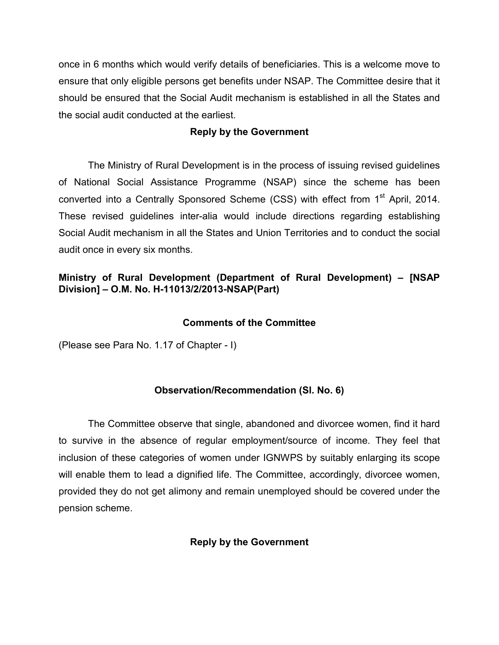once in 6 months which would verify details of beneficiaries. This is a welcome move to ensure that only eligible persons get benefits under NSAP. The Committee desire that it should be ensured that the Social Audit mechanism is established in all the States and the social audit conducted at the earliest.

## **Reply by the Government**

The Ministry of Rural Development is in the process of issuing revised guidelines of National Social Assistance Programme (NSAP) since the scheme has been converted into a Centrally Sponsored Scheme (CSS) with effect from 1<sup>st</sup> April, 2014. These revised guidelines inter-alia would include directions regarding establishing Social Audit mechanism in all the States and Union Territories and to conduct the social audit once in every six months.

## **Ministry of Rural Development (Department of Rural Development) – [NSAP Division] – O.M. No. H-11013/2/2013-NSAP(Part)**

## **Comments of the Committee**

(Please see Para No. 1.17 of Chapter - I)

## **Observation/Recommendation (Sl. No. 6)**

The Committee observe that single, abandoned and divorcee women, find it hard to survive in the absence of regular employment/source of income. They feel that inclusion of these categories of women under IGNWPS by suitably enlarging its scope will enable them to lead a dignified life. The Committee, accordingly, divorcee women, provided they do not get alimony and remain unemployed should be covered under the pension scheme.

## **Reply by the Government**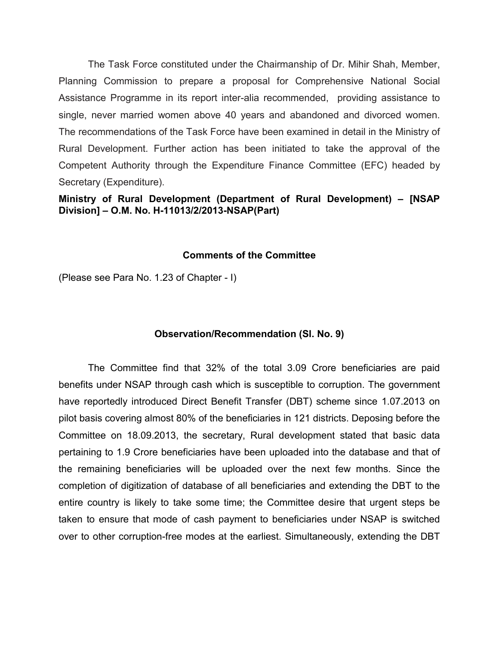The Task Force constituted under the Chairmanship of Dr. Mihir Shah, Member, Planning Commission to prepare a proposal for Comprehensive National Social Assistance Programme in its report inter-alia recommended, providing assistance to single, never married women above 40 years and abandoned and divorced women. The recommendations of the Task Force have been examined in detail in the Ministry of Rural Development. Further action has been initiated to take the approval of the Competent Authority through the Expenditure Finance Committee (EFC) headed by Secretary (Expenditure).

## **Ministry of Rural Development (Department of Rural Development) – [NSAP Division] – O.M. No. H-11013/2/2013-NSAP(Part)**

## **Comments of the Committee**

(Please see Para No. 1.23 of Chapter - I)

#### **Observation/Recommendation (Sl. No. 9)**

The Committee find that 32% of the total 3.09 Crore beneficiaries are paid benefits under NSAP through cash which is susceptible to corruption. The government have reportedly introduced Direct Benefit Transfer (DBT) scheme since 1.07.2013 on pilot basis covering almost 80% of the beneficiaries in 121 districts. Deposing before the Committee on 18.09.2013, the secretary, Rural development stated that basic data pertaining to 1.9 Crore beneficiaries have been uploaded into the database and that of the remaining beneficiaries will be uploaded over the next few months. Since the completion of digitization of database of all beneficiaries and extending the DBT to the entire country is likely to take some time; the Committee desire that urgent steps be taken to ensure that mode of cash payment to beneficiaries under NSAP is switched over to other corruption-free modes at the earliest. Simultaneously, extending the DBT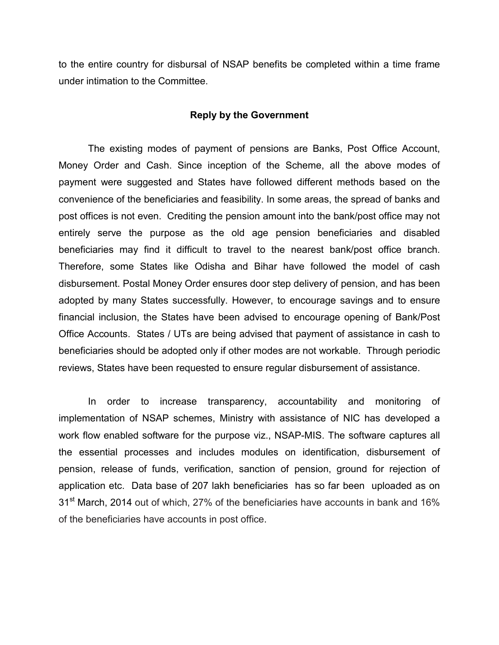to the entire country for disbursal of NSAP benefits be completed within a time frame under intimation to the Committee.

#### **Reply by the Government**

The existing modes of payment of pensions are Banks, Post Office Account, Money Order and Cash. Since inception of the Scheme, all the above modes of payment were suggested and States have followed different methods based on the convenience of the beneficiaries and feasibility. In some areas, the spread of banks and post offices is not even. Crediting the pension amount into the bank/post office may not entirely serve the purpose as the old age pension beneficiaries and disabled beneficiaries may find it difficult to travel to the nearest bank/post office branch. Therefore, some States like Odisha and Bihar have followed the model of cash disbursement. Postal Money Order ensures door step delivery of pension, and has been adopted by many States successfully. However, to encourage savings and to ensure financial inclusion, the States have been advised to encourage opening of Bank/Post Office Accounts. States / UTs are being advised that payment of assistance in cash to beneficiaries should be adopted only if other modes are not workable. Through periodic reviews, States have been requested to ensure regular disbursement of assistance.

In order to increase transparency, accountability and monitoring of implementation of NSAP schemes, Ministry with assistance of NIC has developed a work flow enabled software for the purpose viz., NSAP-MIS. The software captures all the essential processes and includes modules on identification, disbursement of pension, release of funds, verification, sanction of pension, ground for rejection of application etc. Data base of 207 lakh beneficiaries has so far been uploaded as on 31<sup>st</sup> March, 2014 out of which, 27% of the beneficiaries have accounts in bank and 16% of the beneficiaries have accounts in post office.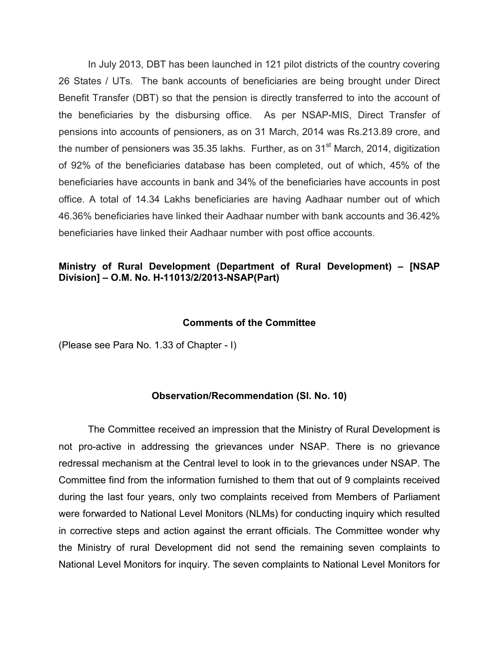In July 2013, DBT has been launched in 121 pilot districts of the country covering 26 States / UTs. The bank accounts of beneficiaries are being brought under Direct Benefit Transfer (DBT) so that the pension is directly transferred to into the account of the beneficiaries by the disbursing office. As per NSAP-MIS, Direct Transfer of pensions into accounts of pensioners, as on 31 March, 2014 was Rs.213.89 crore, and the number of pensioners was 35.35 lakhs. Further, as on 31 $^{\rm st}$  March, 2014, digitization of 92% of the beneficiaries database has been completed, out of which, 45% of the beneficiaries have accounts in bank and 34% of the beneficiaries have accounts in post office. A total of 14.34 Lakhs beneficiaries are having Aadhaar number out of which 46.36% beneficiaries have linked their Aadhaar number with bank accounts and 36.42% beneficiaries have linked their Aadhaar number with post office accounts.

## **Ministry of Rural Development (Department of Rural Development) – [NSAP Division] – O.M. No. H-11013/2/2013-NSAP(Part)**

#### **Comments of the Committee**

(Please see Para No. 1.33 of Chapter - I)

#### **Observation/Recommendation (Sl. No. 10)**

The Committee received an impression that the Ministry of Rural Development is not pro-active in addressing the grievances under NSAP. There is no grievance redressal mechanism at the Central level to look in to the grievances under NSAP. The Committee find from the information furnished to them that out of 9 complaints received during the last four years, only two complaints received from Members of Parliament were forwarded to National Level Monitors (NLMs) for conducting inquiry which resulted in corrective steps and action against the errant officials. The Committee wonder why the Ministry of rural Development did not send the remaining seven complaints to National Level Monitors for inquiry. The seven complaints to National Level Monitors for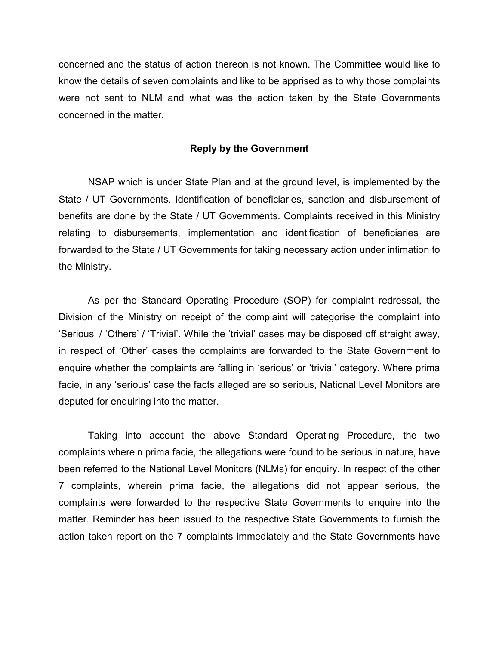concerned and the status of action thereon is not known. The Committee would like to know the details of seven complaints and like to be apprised as to why those complaints were not sent to NLM and what was the action taken by the State Governments concerned in the matter.

#### **Reply by the Government**

NSAP which is under State Plan and at the ground level, is implemented by the State / UT Governments. Identification of beneficiaries, sanction and disbursement of benefits are done by the State / UT Governments. Complaints received in this Ministry relating to disbursements, implementation and identification of beneficiaries are forwarded to the State / UT Governments for taking necessary action under intimation to the Ministry.

As per the Standard Operating Procedure (SOP) for complaint redressal, the Division of the Ministry on receipt of the complaint will categorise the complaint into 'Serious' / 'Others' / 'Trivial'. While the 'trivial' cases may be disposed off straight away, in respect of 'Other' cases the complaints are forwarded to the State Government to enquire whether the complaints are falling in 'serious' or 'trivial' category. Where prima facie, in any 'serious' case the facts alleged are so serious, National Level Monitors are deputed for enquiring into the matter.

Taking into account the above Standard Operating Procedure, the two complaints wherein prima facie, the allegations were found to be serious in nature, have been referred to the National Level Monitors (NLMs) for enquiry. In respect of the other 7 complaints, wherein prima facie, the allegations did not appear serious, the complaints were forwarded to the respective State Governments to enquire into the matter. Reminder has been issued to the respective State Governments to furnish the action taken report on the 7 complaints immediately and the State Governments have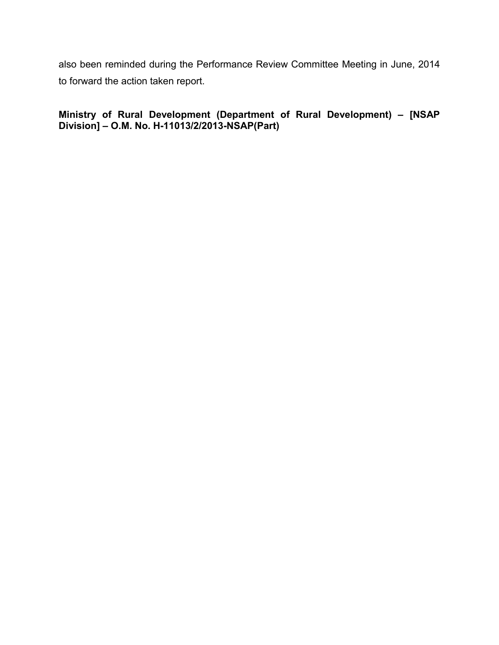also been reminded during the Performance Review Committee Meeting in June, 2014 to forward the action taken report.

**Ministry of Rural Development (Department of Rural Development) – [NSAP Division] – O.M. No. H-11013/2/2013-NSAP(Part)**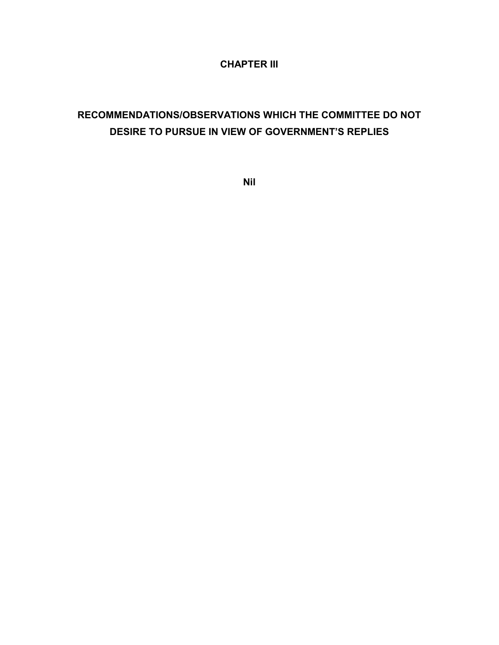## **CHAPTER III**

# **RECOMMENDATIONS/OBSERVATIONS WHICH THE COMMITTEE DO NOT DESIRE TO PURSUE IN VIEW OF GOVERNMENT'S REPLIES**

**Nil**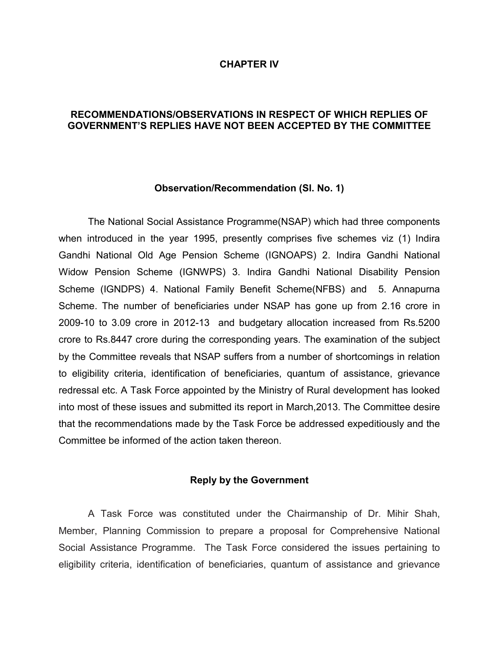#### **CHAPTER IV**

#### **RECOMMENDATIONS/OBSERVATIONS IN RESPECT OF WHICH REPLIES OF GOVERNMENT'S REPLIES HAVE NOT BEEN ACCEPTED BY THE COMMITTEE**

#### **Observation/Recommendation (Sl. No. 1)**

The National Social Assistance Programme(NSAP) which had three components when introduced in the year 1995, presently comprises five schemes viz (1) Indira Gandhi National Old Age Pension Scheme (IGNOAPS) 2. Indira Gandhi National Widow Pension Scheme (IGNWPS) 3. Indira Gandhi National Disability Pension Scheme (IGNDPS) 4. National Family Benefit Scheme(NFBS) and 5. Annapurna Scheme. The number of beneficiaries under NSAP has gone up from 2.16 crore in 2009-10 to 3.09 crore in 2012-13 and budgetary allocation increased from Rs.5200 crore to Rs.8447 crore during the corresponding years. The examination of the subject by the Committee reveals that NSAP suffers from a number of shortcomings in relation to eligibility criteria, identification of beneficiaries, quantum of assistance, grievance redressal etc. A Task Force appointed by the Ministry of Rural development has looked into most of these issues and submitted its report in March,2013. The Committee desire that the recommendations made by the Task Force be addressed expeditiously and the Committee be informed of the action taken thereon.

#### **Reply by the Government**

A Task Force was constituted under the Chairmanship of Dr. Mihir Shah, Member, Planning Commission to prepare a proposal for Comprehensive National Social Assistance Programme. The Task Force considered the issues pertaining to eligibility criteria, identification of beneficiaries, quantum of assistance and grievance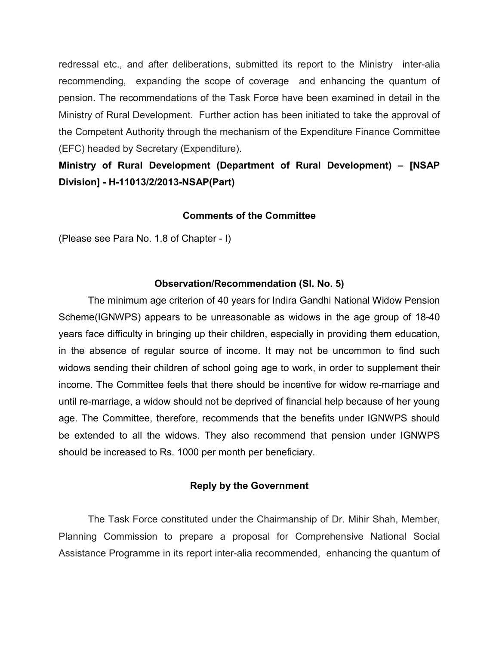redressal etc., and after deliberations, submitted its report to the Ministry inter-alia recommending, expanding the scope of coverage and enhancing the quantum of pension. The recommendations of the Task Force have been examined in detail in the Ministry of Rural Development. Further action has been initiated to take the approval of the Competent Authority through the mechanism of the Expenditure Finance Committee (EFC) headed by Secretary (Expenditure).

## **Ministry of Rural Development (Department of Rural Development) – [NSAP Division] - H-11013/2/2013-NSAP(Part)**

## **Comments of the Committee**

(Please see Para No. 1.8 of Chapter - I)

## **Observation/Recommendation (Sl. No. 5)**

The minimum age criterion of 40 years for Indira Gandhi National Widow Pension Scheme(IGNWPS) appears to be unreasonable as widows in the age group of 18-40 years face difficulty in bringing up their children, especially in providing them education, in the absence of regular source of income. It may not be uncommon to find such widows sending their children of school going age to work, in order to supplement their income. The Committee feels that there should be incentive for widow re-marriage and until re-marriage, a widow should not be deprived of financial help because of her young age. The Committee, therefore, recommends that the benefits under IGNWPS should be extended to all the widows. They also recommend that pension under IGNWPS should be increased to Rs. 1000 per month per beneficiary.

## **Reply by the Government**

The Task Force constituted under the Chairmanship of Dr. Mihir Shah, Member, Planning Commission to prepare a proposal for Comprehensive National Social Assistance Programme in its report inter-alia recommended, enhancing the quantum of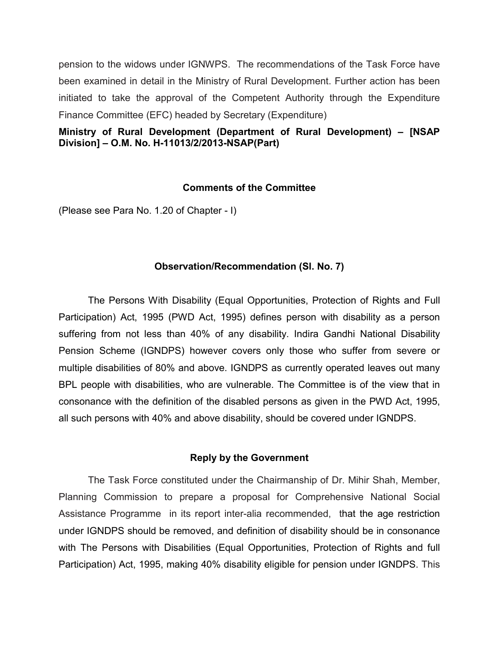pension to the widows under IGNWPS. The recommendations of the Task Force have been examined in detail in the Ministry of Rural Development. Further action has been initiated to take the approval of the Competent Authority through the Expenditure Finance Committee (EFC) headed by Secretary (Expenditure)

## **Ministry of Rural Development (Department of Rural Development) – [NSAP Division] – O.M. No. H-11013/2/2013-NSAP(Part)**

## **Comments of the Committee**

(Please see Para No. 1.20 of Chapter - I)

## **Observation/Recommendation (Sl. No. 7)**

The Persons With Disability (Equal Opportunities, Protection of Rights and Full Participation) Act, 1995 (PWD Act, 1995) defines person with disability as a person suffering from not less than 40% of any disability. Indira Gandhi National Disability Pension Scheme (IGNDPS) however covers only those who suffer from severe or multiple disabilities of 80% and above. IGNDPS as currently operated leaves out many BPL people with disabilities, who are vulnerable. The Committee is of the view that in consonance with the definition of the disabled persons as given in the PWD Act, 1995, all such persons with 40% and above disability, should be covered under IGNDPS.

## **Reply by the Government**

The Task Force constituted under the Chairmanship of Dr. Mihir Shah, Member, Planning Commission to prepare a proposal for Comprehensive National Social Assistance Programme in its report inter-alia recommended, that the age restriction under IGNDPS should be removed, and definition of disability should be in consonance with The Persons with Disabilities (Equal Opportunities, Protection of Rights and full Participation) Act, 1995, making 40% disability eligible for pension under IGNDPS. This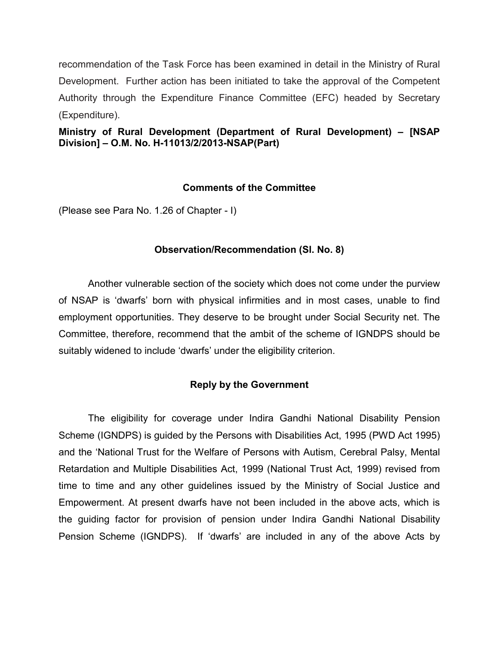recommendation of the Task Force has been examined in detail in the Ministry of Rural Development. Further action has been initiated to take the approval of the Competent Authority through the Expenditure Finance Committee (EFC) headed by Secretary (Expenditure).

**Ministry of Rural Development (Department of Rural Development) – [NSAP Division] – O.M. No. H-11013/2/2013-NSAP(Part)**

## **Comments of the Committee**

(Please see Para No. 1.26 of Chapter - I)

## **Observation/Recommendation (Sl. No. 8)**

Another vulnerable section of the society which does not come under the purview of NSAP is 'dwarfs' born with physical infirmities and in most cases, unable to find employment opportunities. They deserve to be brought under Social Security net. The Committee, therefore, recommend that the ambit of the scheme of IGNDPS should be suitably widened to include 'dwarfs' under the eligibility criterion.

## **Reply by the Government**

The eligibility for coverage under Indira Gandhi National Disability Pension Scheme (IGNDPS) is guided by the Persons with Disabilities Act, 1995 (PWD Act 1995) and the 'National Trust for the Welfare of Persons with Autism, Cerebral Palsy, Mental Retardation and Multiple Disabilities Act, 1999 (National Trust Act, 1999) revised from time to time and any other guidelines issued by the Ministry of Social Justice and Empowerment. At present dwarfs have not been included in the above acts, which is the guiding factor for provision of pension under Indira Gandhi National Disability Pension Scheme (IGNDPS). If 'dwarfs' are included in any of the above Acts by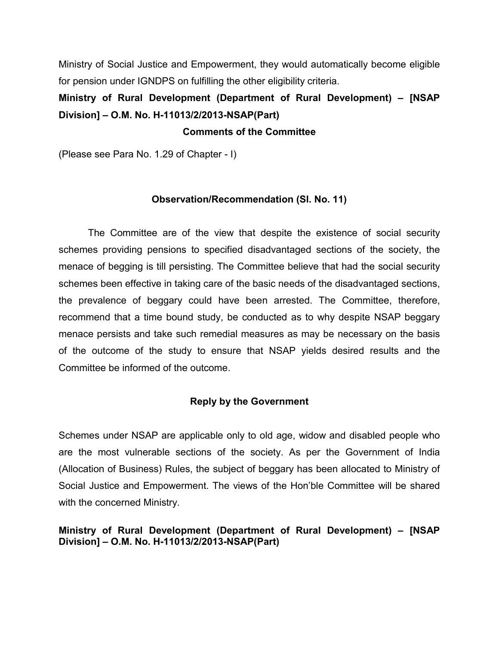Ministry of Social Justice and Empowerment, they would automatically become eligible for pension under IGNDPS on fulfilling the other eligibility criteria.

# **Ministry of Rural Development (Department of Rural Development) – [NSAP Division] – O.M. No. H-11013/2/2013-NSAP(Part)**

#### **Comments of the Committee**

(Please see Para No. 1.29 of Chapter - I)

#### **Observation/Recommendation (Sl. No. 11)**

The Committee are of the view that despite the existence of social security schemes providing pensions to specified disadvantaged sections of the society, the menace of begging is till persisting. The Committee believe that had the social security schemes been effective in taking care of the basic needs of the disadvantaged sections, the prevalence of beggary could have been arrested. The Committee, therefore, recommend that a time bound study, be conducted as to why despite NSAP beggary menace persists and take such remedial measures as may be necessary on the basis of the outcome of the study to ensure that NSAP yields desired results and the Committee be informed of the outcome.

## **Reply by the Government**

Schemes under NSAP are applicable only to old age, widow and disabled people who are the most vulnerable sections of the society. As per the Government of India (Allocation of Business) Rules, the subject of beggary has been allocated to Ministry of Social Justice and Empowerment. The views of the Hon'ble Committee will be shared with the concerned Ministry.

## **Ministry of Rural Development (Department of Rural Development) – [NSAP Division] – O.M. No. H-11013/2/2013-NSAP(Part)**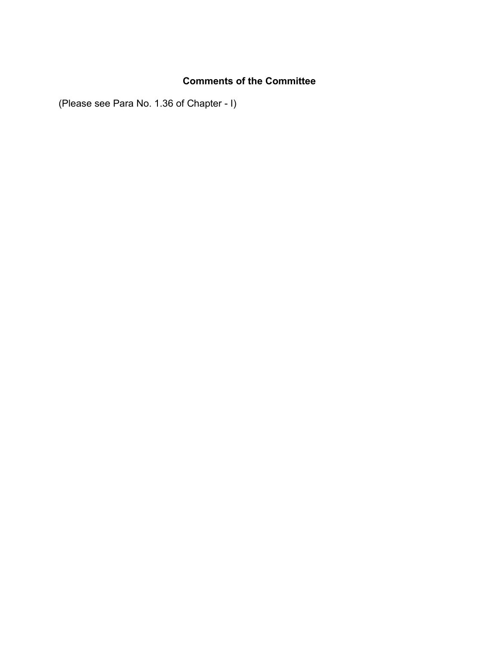## **Comments of the Committee**

(Please see Para No. 1.36 of Chapter - I)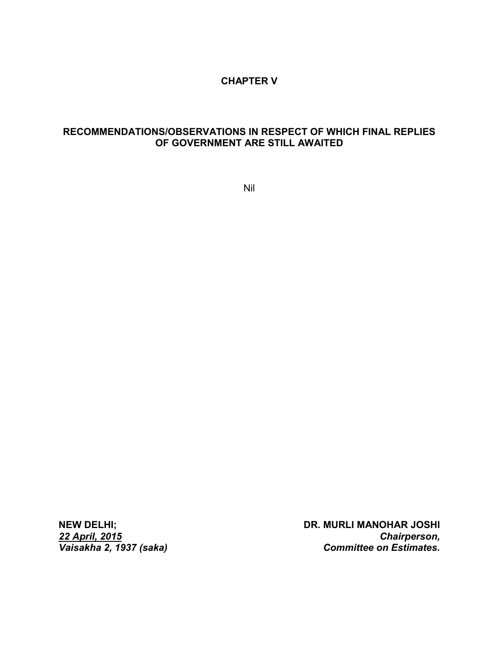#### **CHAPTER V**

## **RECOMMENDATIONS/OBSERVATIONS IN RESPECT OF WHICH FINAL REPLIES OF GOVERNMENT ARE STILL AWAITED**

Nil

*22 April, 2015 Vaisakha 2, 1937 (saka)*

**NEW DELHI; NEW DELHI;** DR. MURLI MANOHAR JOSHI *Chairperson, Committee on Estimates.*